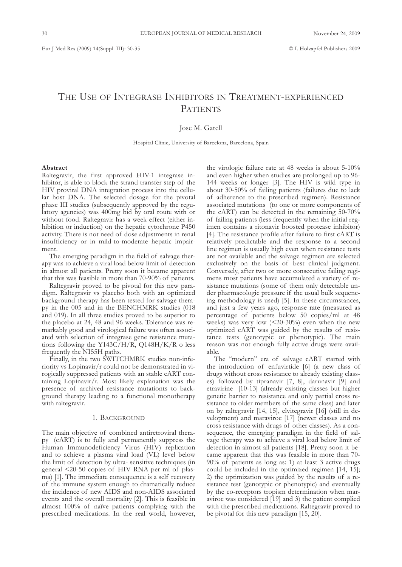# THE USE OF INTEGRASE INHIBITORS IN TREATMENT-EXPERIENCED PATIENTS

Jose M. Gatell

Hospital Clínic, University of Barcelona, Barcelona, Spain

#### **Abstract**

Raltegravir, the first approved HIV-1 integrase inhibitor, is able to block the strand transfer step of the HIV proviral DNA integration process into the cellular host DNA. The selected dosage for the pivotal phase III studies (subsequently approved by the regulatory agencies) was 400mg bid by oral route with or without food. Raltegravir has a week effect (either inhibition or induction) on the hepatic cytochrone P450 activity. There is not need of dose adjustments in renal insufficiency or in mild-to-moderate hepatic impairment.

The emerging paradigm in the field of salvage therapy was to achieve a viral load below limit of detection in almost all patients. Pretty soon it became apparent that this was feasible in more than 70-90% of patients.

Raltegravir proved to be pivotal for this new paradigm. Raltegravir vs placebo both with an optimized background therapy has been tested for salvage therapy in the 005 and in the BENCHMRK studies (018 and 019). In all three studies proved to be superior to the placebo at 24, 48 and 96 weeks. Tolerance was remarkably good and virological failure was often associated with selection of integrase gene resistance mutations following the Y143C/H/R, Q148H/K/R o less frequently the NI55H paths.

Finally, in the two SWITCHMRK studies non-inferiority vs Lopinavir/r could not be demonstrated in virogically suppressed patients with an stable cART containing Lopinavir/r. Most likely explanation was the presence of archived resistance mutationts to background therapy leading to a functional monotherapy with raltegravir.

### 1. BACKGROUND

The main objective of combined antiretroviral therapy (cART) is to fully and permanently suppress the Human Immunodeficiency Virus (HIV) replication and to achieve a plasma viral load (VL) level below the limit of detection by ultra- sensitive techniques (in general <20-50 copies of HIV RNA per ml of plasma) [1]. The immediate consequence is a self recovery of the immune system enough to dramatically reduce the incidence of new AIDS and non-AIDS associated events and the overall mortality [2]. This is feasible in almost 100% of naïve patients complying with the prescribed medications. In the real world, however,

the virologic failure rate at 48 weeks is about 5-10% and even higher when studies are prolonged up to 96- 144 weeks or longer [3]. The HIV is wild type in about 30-50% of failing patients (failures due to lack of adherence to the prescribed regimen). Resistance associated mutations (to one or more components of the cART) can be detected in the remaining 50-70% of failing patients (less frequently when the initial regimen contains a ritonavir boosted protease inhibitor) [4]. The resistance profile after failure to first cART is relatively predictable and the response to a second line regimen is usually high even when resistance tests are not available and the salvage regimen are selected exclusively on the basis of best clinical judgment. Conversely, after two or more consecutive failing regimens most patients have accumulated a variety of resistance mutations (some of them only detectable under pharmacologic pressure if the usual bulk sequencing methodology is used) [5]. In these circumstances, and just a few years ago, response rate (measured as percentage of patients below 50 copies/ml at 48 weeks) was very low  $\left($  <20-30%) even when the new optimized cART was guided by the results of resistance tests (genotypic or phenotypic). The main reason was not enough fully active drugs were available.

The "modern" era of salvage cART started with the introduction of enfuvirtide [6] (a new class of drugs without cross resistance to already existing classes) followed by tipranavir [7, 8], darunavir [9] and etravirine [10-13] (already existing classes but higher genetic barrier to resistance and only partial cross resistance to older members of the same class) and later on by raltegravir [14, 15], elvitegravir [16] (still in development) and maraviroc [17] (newer classes and no cross resistance with drugs of other classes). As a consequence, the emerging paradigm in the field of salvage therapy was to achieve a viral load below limit of detection in almost all patients [18]. Pretty soon it became apparent that this was feasible in more than 70- 90% of patients as long as: 1) at least 3 active drugs could be included in the optimized regimen [14, 15]; 2) the optimization was guided by the results of a resistance test (genotypic or phenotypic) and eventually by the co-receptors tropism determination when maraviroc was considered [19] and 3) the patient complied with the prescribed medications. Raltegravir proved to be pivotal for this new paradigm [15, 20].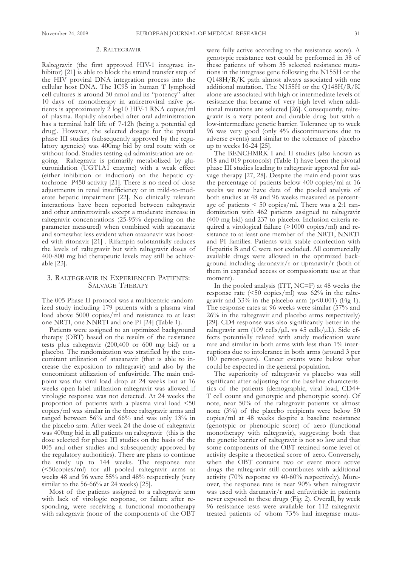## 2. RALTEGRAVIR

Raltegravir (the first approved HIV-1 integrase inhibitor) [21] is able to block the strand transfer step of the HIV proviral DNA integration process into the cellular host DNA. The IC95 in human T lymphoid cell cultures is around 30 nmol and its "potency" after 10 days of monotherapy in antiretroviral naïve patients is approximately 2 log10 HIV-1 RNA copies/ml of plasma. Rapidly absorbed after oral administration has a terminal half life of 7-12h (being a potential qd drug). However, the selected dosage for the pivotal phase III studies (subsequently approved by the regulatory agencies) was 400mg bid by oral route with or without food. Studies testing qd administration are ongoing. Raltegravir is primarily metabolized by glucuronidation (UGT1A1 enzyme) with a weak effect (either inhibition or induction) on the hepatic cytochrone P450 activity [21]. There is no need of dose adjustments in renal insufficiency or in mild-to-moderate hepatic impairment [22]. No clinically relevant interactions have been reported between raltegravir and other antiretrovirals except a moderate increase in raltegravir concentrations (25-95% depending on the parameter measured) when combined with atazanavir and somewhat less evident when atazanavir was boosted with ritonavir [21] . Rifampin substantially reduces the levels of raltegravir but with raltegravir doses of 400-800 mg bid therapeutic levels may still be achievable [23].

## 3. RALTEGRAVIR IN EXPERIENCED PATIENTS: SALVAGE THERAPY

The 005 Phase II protocol was a multicentric randomized study including 179 patients with a plasma viral load above 5000 copies/ml and resistance to at least one NRTI, one NNRTI and one PI [24] (Table 1).

Patients were assigned to an optimized background therapy (OBT) based on the results of the resistance tests plus raltegravir (200,400 or 600 mg bid) or a placebo. The randomization was stratified by the concomitant utilization of atazanavir (that is able to increase the exposition to raltegravir) and also by the concomitant utilization of enfuvirtide. The main endpoint was the viral load drop at 24 weeks but at 16 weeks open label utilization raltegravir was allowed if virologic response was not detected. At 24 weeks the proportion of patients with a plasma viral load <50 copies/ml was similar in the three raltegravir arms and ranged between 56% and 66% and was only 13% in the placebo arm. After week 24 the dose of raltegravir was 400mg bid in all patients on raltegravir (this is the dose selected for phase III studies on the basis of the 005 and other studies and subsequently approved by the regulatory authorities). There are plans to continue the study up to 144 weeks. The response rate (<50copies/ml) for all pooled raltegravir arms at weeks 48 and 96 were 55% and 48% respectively (very similar to the 56-66% at 24 weeks) [25].

Most of the patients assigned to a raltegravir arm with lack of virologic response, or failure after responding, were receiving a functional monotherapy with raltegravir (none of the components of the OBT

were fully active according to the resistance score). A genotypic resistance test could be performed in 38 of these patients of whom 35 selected resistance mutations in the integrase gene following the N155H or the Q148H/R/K path almost always associated with one additional mutation. The N155H or the Q148H/R/K alone are associated with high or intermediate levels of resistance that became of very high level when additional mutations are selected [26]. Consequently, raltegravir is a very potent and durable drug but with a low-intermediate genetic barrier. Tolerance up to week 96 was very good (only 4% discontinuations due to adverse events) and similar to the tolerance of placebo up to weeks 16-24 [25].

The BENCHMRK I and II studies (also known as 018 and 019 protocols) (Table 1) have been the pivotal phase III studies leading to raltegravir approval for salvage therapy [27, 28]. Despite the main end-point was the percentage of patients below 400 copies/ml at 16 weeks we now have data of the pooled analysis of both studies at 48 and 96 weeks measured as percentage of patients  $\leq 50$  copies/ml. There was a 2:1 randomization with 462 patients assigned to raltegravir (400 mg bid) and 237 to placebo. Inclusion criteria required a virological failure (>1000 copies/ml) and resistance to at least one member of the NRTI, NNRTI and PI families. Patients with stable coinfection with Hepatitis B and C were not excluded. All commercially available drugs were allowed in the optimized background including darunavir/r or tipranavir/r (both of them in expanded access or compassionate use at that moment).

In the pooled analysis (ITT, NC=F) at 48 weeks the response rate (<50 copies/ml) was 62% in the raltegravir and  $33\%$  in the placebo arm (p<0.001) (Fig 1). The response rates at 96 weeks were similar (57% and 26% in the raltegravir and placebo arms respectively) [29]. CD4 response was also significantly better in the raltegravir arm (109 cells/ $\mu$ L vs 45 cells/ $\mu$ L). Side effects potentially related with study medication were rare and similar in both arms with less than 1% interruptions due to intolerance in both arms (around 3 per 100 person-years). Cancer events were below what could be expected in the general population.

The superiority of raltegravir vs placebo was still significant after adjusting for the baseline characteristics of the patients (demographic, viral load, CD4+ T cell count and genotypic and phenotypic score). Of note, near 50% of the raltegravir patients vs almost none (3%) of the placebo recipients were below 50 copies/ml at 48 weeks despite a baseline resistance (genotypic or phenotipic score) of zero (functional monotherapy with raltegravir), suggesting both that the genetic barrier of raltegravir is not so low and that some components of the OBT retained some level of activity despite a theoretical score of zero. Conversely, when the OBT contains two or event more active drugs the raltegravir still contributes with additional activity (70% response vs 40-60% respectively). Moreover, the response rate is near 90% when raltegravir was used with darunavir/r and enfuvirtide in patients never exposed to these drugs (Fig. 2). Overall, by week 96 resistance tests were available for 112 raltegravir treated patients of whom 73% had integrase muta-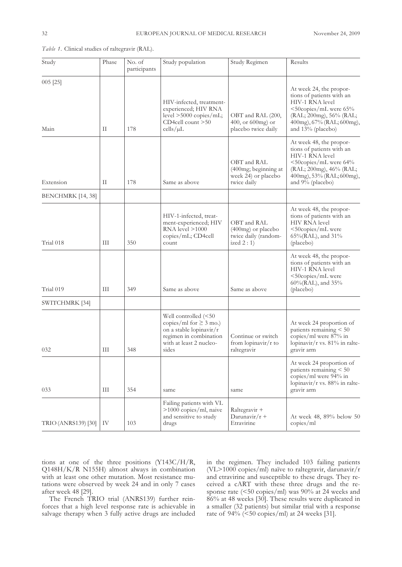| Study               | Phase | No. of<br>participants | Study population                                                                                                                             | Study Regimen                                                             | Results                                                                                                                                                                            |
|---------------------|-------|------------------------|----------------------------------------------------------------------------------------------------------------------------------------------|---------------------------------------------------------------------------|------------------------------------------------------------------------------------------------------------------------------------------------------------------------------------|
| $005$ [25]<br>Main  | П     | 178                    | HIV-infected, treatment-<br>experienced; HIV RNA<br>level $>5000$ copies/mL;<br>CD4cell count >50<br>cells/µL                                | OBT and RAL (200,<br>$400$ , or $600$ mg) or<br>placebo twice daily       | At week 24, the propor-<br>tions of patients with an<br>HIV-1 RNA level<br><50copies/mL were 65%<br>(RAL; 200mg), 56% (RAL;<br>400mg), 67% (RAL; 600mg),<br>and 13% (placebo)      |
| Extension           | П     | 178                    | Same as above                                                                                                                                | OBT and RAL<br>(400mg; beginning at<br>week 24) or placebo<br>twice daily | At week 48, the propor-<br>tions of patients with an<br>HIV-1 RNA level<br>$\leq$ 50copies/mL were 64%<br>(RAL; 200mg), 46% (RAL;<br>400mg), 53% (RAL; 600mg),<br>and 9% (placebo) |
| BENCHMRK [14, 38]   |       |                        |                                                                                                                                              |                                                                           |                                                                                                                                                                                    |
| Trial 018           | Ш     | 350                    | HIV-1-infected, treat-<br>ment-experienced; HIV<br>$RNA$ level $>1000$<br>copies/mL; CD4cell<br>count                                        | OBT and RAL<br>$(400mg)$ or placebo<br>twice daily (random-<br>ized $2:1$ | At week 48, the propor-<br>tions of patients with an<br><b>HIV RNA</b> level<br><50copies/mL were<br>$65\% (RAL)$ , and $31\%$<br>(placebo)                                        |
| Trial 019           | Ш     | 349                    | Same as above                                                                                                                                | Same as above                                                             | At week 48, the propor-<br>tions of patients with an<br>HIV-1 RNA level<br><50copies/mL were<br>60%(RAL), and 35%<br>(placebo)                                                     |
| SWITCHMRK [34]      |       |                        |                                                                                                                                              |                                                                           |                                                                                                                                                                                    |
| 032                 | Ш     | 348                    | Well controlled (<50<br>copies/ml for $\geq 3$ mo.)<br>on a stable lopinavir/r<br>regimen in combination<br>with at least 2 nucleo-<br>sides | Continue or switch<br>from $lopinavir/r$ to<br>raltegravir                | At week 24 proportion of<br>patients remaining $< 50$<br>copies/ml were $87\%$ in<br>lopinavir/r vs. 81% in ralte-<br>gravir arm                                                   |
| 033                 | Ш     | 354                    | same                                                                                                                                         | same                                                                      | At week 24 proportion of<br>patients remaining < 50<br>copies/ml were 94% in<br>lopinavir/r vs. 88% in ralte-<br>gravir arm                                                        |
| TRIO (ANRS139) [30] | IV    | 103                    | Failing patients with VL<br>>1000 copies/ml, naive<br>and sensitive to study<br>drugs                                                        | Raltegravir +<br>Darunavir/ $r +$<br>Etravirine                           | At week 48, 89% below 50<br>copies/ml                                                                                                                                              |

*Table 1.* Clinical studies of raltegravir (RAL).

tions at one of the three positions (Y143C/H/R, Q148H/K/R N155H) almost always in combination with at least one other mutation. Most resistance mutations were observed by week 24 and in only 7 cases after week 48 [29].

The French TRIO trial (ANRS139) further reinforces that a high level response rate is achievable in salvage therapy when 3 fully active drugs are included

in the regimen. They included 103 failing patients (VL>1000 copies/ml) naïve to raltegravir, darunavir/r and etravirine and susceptible to these drugs. They received a cART with these three drugs and the response rate (<50 copies/ml) was 90% at 24 weeks and 86% at 48 weeks [30]. These results were duplicated in a smaller (32 patients) but similar trial with a response rate of 94% (<50 copies/ml) at 24 weeks [31].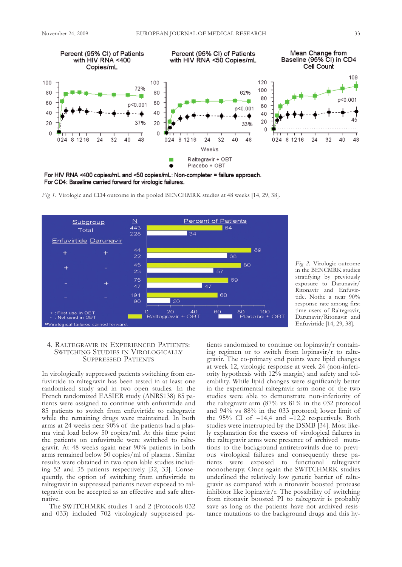

For HIV RNA <400 copies/mL and <50 copies/mL: Non-completer = failure approach. For CD4: Baseline carried forward for virologic failures.



*Fig 1.* Virologic and CD4 outcome in the pooled BENCHMRK studies at 48 weeks [14, 29, 38].

*Fig 2.* Virologic outcome in the BENCMRK studies stratifying by previously exposure to Darunavir/ Ritonavir and Enfuvirtide. Nothe a near 90% response rate among first time users of Raltegravir, Darunavir/Ritonavir and Enfuvirtide [14, 29, 38].

## 4. RALTEGRAVIR IN EXPERIENCED PATIENTS: SWITCHING STUDIES IN VIROLOGICALLY SUPPRESSED PATIENTS

In virologically suppressed patients switching from enfuvirtide to raltegravir has been tested in at least one randomized study and in two open studies. In the French randomized EASIER study (ANRS138) 85 patients were assigned to continue with enfuvirtide and 85 patients to switch from enfuvirtide to raltegravir while the remaining drugs were maintained. In both arms at 24 weeks near 90% of the patients had a plasma viral load below 50 copies/ml. At this time point the patients on enfuvirtude were switched to raltegravir. At 48 weeks again near 90% patients in both arms remained below 50 copies/ml of plasma . Similar results were obtained in two open lable studies including 52 and 35 patients respectively [32, 33]. Consequently, the option of switching from enfuvirtide to raltegravir in suppressed patients never exposed to raltegravir con be accepted as an effective and safe alternative.

The SWITCHMRK studies 1 and 2 (Protocols 032 and 033) included 702 virologicaly suppressed patients randomized to continue on lopinavir/r containing regimen or to switch from lopinavir/r to raltegravir. The co-primary end points were lipid changes at week 12, virologic response at week 24 (non-inferiority hypothesis with 12% margin) and safety and tolerability. While lipid changes were significantly better in the experimental raltegravir arm none of the two studies were able to demonstrate non-inferiority of the raltegravir arm (87% vs 81% in the 032 protocol and 94% vs 88% in the 033 protocol; lower limit of the  $95\%$  CI of  $-14,4$  and  $-12,2$  respectively. Both studies were interrupted by the DSMB [34]. Most likely explanation for the excess of virological failures in the raltegravir arms were presence of archived mutations to the background antiretrovirals due to previous virological failures and consequently these patients were exposed to functional raltegravir monotherapy. Once again the SWITCHMRK studies underlined the relatively low genetic barrier of raltegravir as compared with a ritonavir boosted protease inhibitor like lopinavir/r. The possibility of switching from ritonavir boosted PI to raltegravir is probably save as long as the patients have not archived resistance mutations to the background drugs and this hy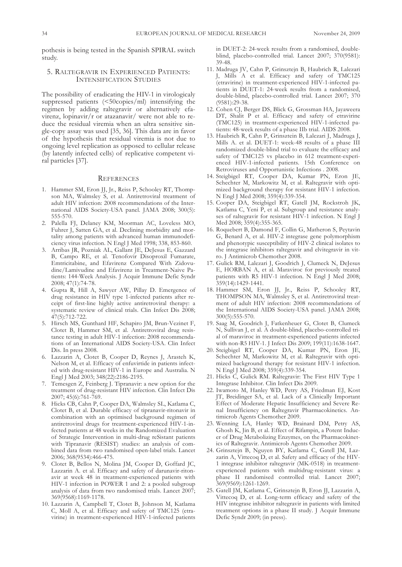pothesis is being tested in the Spanish SPIRAL switch study.

## 5. RALTEGRAVIR IN EXPERIENCED PATIENTS: INTENSIFICATION STUDIES

The possibility of eradicating the HIV-1 in virologicaly suppressed patients (<50copies/ml) intensifying the regimen by adding raltegravir or alternatively efavirenz, lopinavir/ $r$  or atazanavir/ were not able to reduce the residual viremia when an ultra sensitive single-copy assay was used [35, 36]. This data are in favor of the hypothesis that residual viremia is not due to ongoing level replication as opposed to cellular release (by latently infected cells) of replicative competent viral particles [37].

#### **REFERENCES**

- 1. Hammer SM, Eron JJ, Jr., Reiss P, Schooley RT, Thompson MA, Walmsley S, et al. Antiretroviral treatment of adult HIV infection: 2008 recommendations of the International AIDS Society-USA panel. JAMA 2008; 300(5): 555-570.
- 2. Palella FJ, Delaney KM, Moorman AC, Loveless MO, Fuhrer J, Satten GA, et al. Declining morbidity and mortality among patients with advanced human immunodeficiency virus infection. N Engl J Med 1998; 338, 853-860.
- 3. Arribas JR, Pozniak AL, Gallant JE, DeJesus E, Gazzard B, Campo RE, et al. Tenofovir Disoproxil Fumarate, Emtricitabine, and Efavirenz Compared With Zidovudine/Lamivudine and Efavirenz in Treatment-Naive Patients: 144-Week Analysis. J Acquir Immune Defic Syndr 2008; 47(1):74-78.
- 4. Gupta R, Hill A, Sawyer AW, Pillay D. Emergence of drug resistance in HIV type 1-infected patients after receipt of first-line highly active antiretroviral therapy: a systematic review of clinical trials. Clin Infect Dis 2008; 47(5):712-722.
- 5. Hirsch MS, Gunthard HF, Schapiro JM, Brun-Vezinet F, Clotet B, Hammer SM, et al. Antiretroviral drug resistance testing in adult HIV-1 infection: 2008 recommendations of an International AIDS Society-USA. Clin Infect Dis. In press 2008.
- 6. Lazzarin A, Clotet B, Cooper D, Reynes J, Arasteh K, Nelson M, et al. Efficacy of enfuvirtide in patients infected with drug-resistant HIV-1 in Europe and Australia. N Engl J Med 2003; 348(22):2186-2195.
- 7. Temesgen Z, Feinberg J. Tipranavir: a new option for the treatment of drug-resistant HIV infection. Clin Infect Dis 2007; 45(6):761-769.
- 8. Hicks CB, Cahn P, Cooper DA, Walmsley SL, Katlama C, Clotet B, et al. Durable efficacy of tipranavir-ritonavir in combination with an optimised background regimen of antiretroviral drugs for treatment-experienced HIV-1-infected patients at 48 weeks in the Randomized Evaluation of Strategic Intervention in multi-drug reSistant patients with Tipranavir (RESIST) studies: an analysis of combined data from two randomised open-label trials. Lancet 2006; 368(9534):466-475.
- 9. Clotet B, Bellos N, Molina JM, Cooper D, Goffard JC, Lazzarin A. et al. Efficacy and safety of darunavir-ritonavir at week 48 in treatment-experienced patients with HIV-1 infection in POWER 1 and 2: a pooled subgroup analysis of data from two randomised trials. Lancet 2007; 369(9568):1169-1178.
- 10. Lazzarin A, Campbell T, Clotet B, Johnson M, Katlama C, Moll A, et al. Efficacy and safety of TMC125 (etravirine) in treatment-experienced HIV-1-infected patients

in DUET-2: 24-week results from a randomised, doubleblind, placebo-controlled trial. Lancet 2007; 370(9581): 39-48.

- 11. Madruga JV, Cahn P, Grinsztejn B, Haubrich R, Lalezari J, Mills A et al. Efficacy and safety of TMC125 (etravirine) in treatment-experienced HIV-1-infected patients in DUET-1: 24-week results from a randomised, double-blind, placebo-controlled trial. Lancet 2007; 370 (9581):29-38.
- 12. Cohen CJ, Berger DS, Blick G, Grossman HA, Jayaweera DT, Shalit P et al. Efficacy and safety of etravirine (TMC125) in treatment-experienced HIV-1-infected patients: 48-week results of a phase IIb trial. AIDS 2008.
- 13. Haubrich R, Cahn P, Grinsztein B, Lalezari J, Madruga J, Mills A. et al. DUET-1: week-48 results of a phase III randomized double-blind trial to evaluate the efficacy and safety of TMC125 vs placebo in 612 treatment-experienced HIV-1-infected patients. 15th Conference on Retroviruses and Opportunistic Infections . 2008.
- 14. Steigbigel RT, Cooper DA, Kumar PN, Eron JE, Schechter M, Markowitz M, et al. Raltegravir with optimized background therapy for resistant HIV-1 infection. N Engl J Med 2008; 359(4):339-354.
- 15. Cooper DA, Steigbigel RT, Gatell JM, Rockstroh JK, Katlama C, Yeni P, et al. Subgroup and resistance analyses of raltegravir for resistant HIV-1 infection. N Engl J Med 2008; 359(4):355-365.
- 16. Roquebert B, Damond F, Collin G, Matheron S, Peytavin G, Benard A, et al. HIV-2 integrase gene polymorphism and phenotypic susceptibility of HIV-2 clinical isolates to the integrase inhibitors raltegravir and elvitegravir in vitro. J Antimicrob Chemother 2008.
- 17. Gulick RM, Lalezari J, Goodrich J, Clumeck N, DeJesus E, HORBAN A, et al. Maraviroc for previously treated patients with R5 HIV-1 infection. N Engl J Med 2008; 359(14):1429-1441.
- 18. Hammer SM, Eron JJ, Jr., Reiss P, Schooley RT, THOMPSON MA, Walmsley S, et al. Antiretroviral treatment of adult HIV infection: 2008 recommendations of the International AIDS Society-USA panel. JAMA 2008; 300(5):555-570.
- 19. Saag M, Goodrich J, Fatkenheuer G, Clotet B, Clumeck N, Sullivan J, et al. A double-blind, placebo-controlled trial of maraviroc in treatment-experienced patients infected with non-R5 HIV-1. J Infect Dis 2009; 199(11):1638-1647.
- 20. Steigbigel RT, Cooper DA, Kumar PN, Eron JE, Schechter M, Markowitz M, et al. Raltegravir with optimized background therapy for resistant HIV-1 infection. N Engl J Med 2008; 359(4):339-354.
- 21. Hicks C, Gulick RM. Raltegravir: The First HIV Type 1 Integrase Inhibitor. Clin Infect Dis 2009.
- 22. Iwamoto M, Hanley WD, Petry AS, Friedman EJ, Kost JT, Breidinger SA, et al. Lack of a Clinically Important Effect of Moderate Hepatic Insufficiency and Severe Renal Insufficiency on Raltegravir Pharmacokinetics. Antimicrob Agents Chemother 2009.
- 23. Wenning LA, Hanley WD, Brainard DM, Petry AS, Ghosh K, Jin B, et al. Effect of Rifampin, a Potent Inducer of Drug Metabolizing Enzymes, on the Pharmacokinetics of Raltegravir. Antimicrob Agents Chemother 2009.
- 24. Grinsztejn B, Nguyen BY, Katlama C, Gatell JM, Lazzarin A, Vittecoq D, et al. Safety and efficacy of the HIV-1 integrase inhibitor raltegravir (MK-0518) in treatmentexperienced patients with multidrug-resistant virus: a phase II randomised controlled trial. Lancet 2007; 369(9569):1261-1269.
- 25. Gatell JM, Katlama C, Grinsztejn B, Eron JJ, Lazzarin A, Vittecoq D, et al. Long-term efficacy and safety of the HIV integrase inhibitor raltegravir in patients with limited treatment options in a phase II study. J Acquir Immune Defic Syndr 2009; (in press).